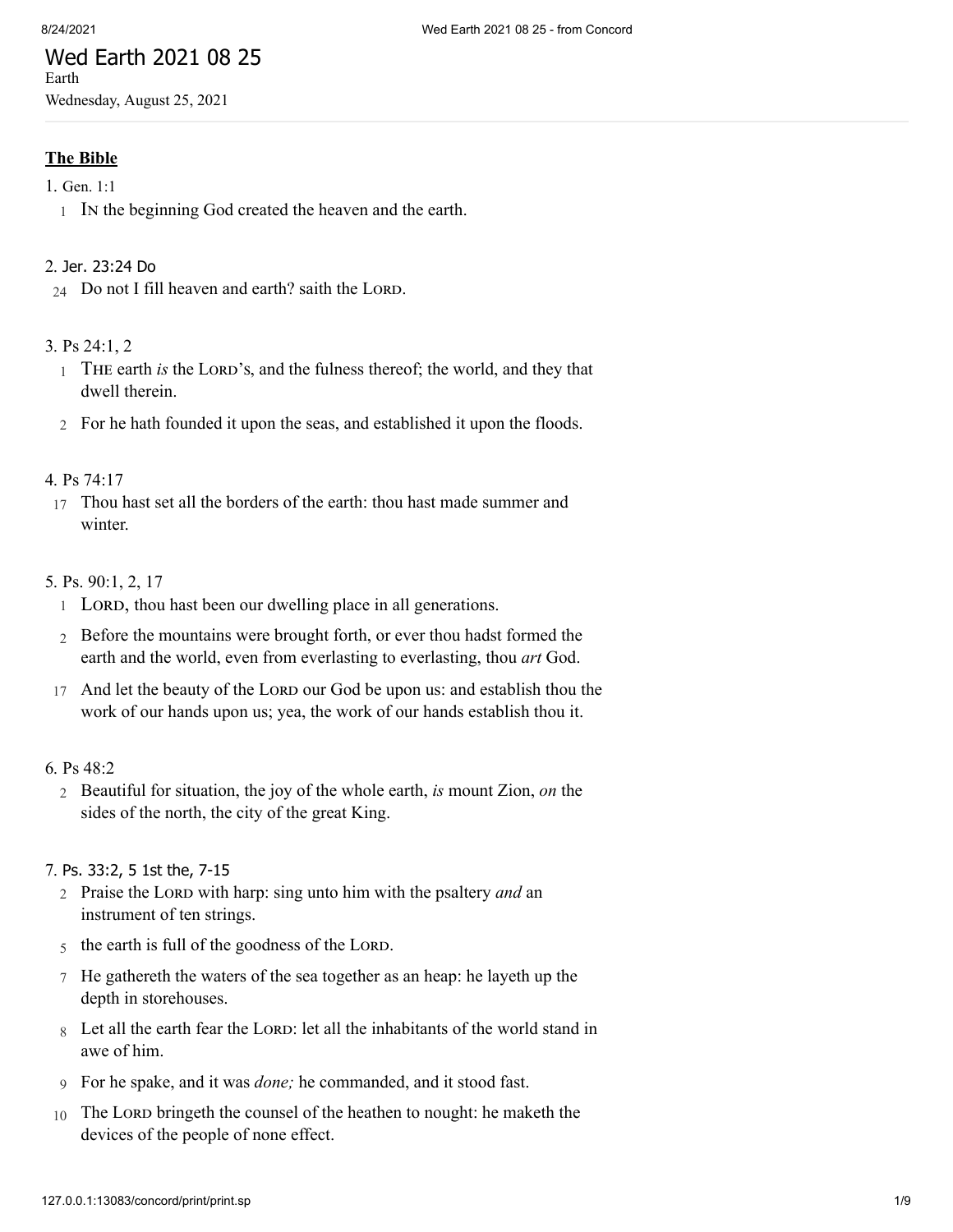## Wed Earth 2021 08 25 Earth

Wednesday, August 25, 2021

# **The Bible**

- 1. [Gen.](http://www.concordworks.com/citation/Gen.%201:1) 1:1
	- 1 In the beginning God created the heaven and the earth.

## 2. Jer. [23:24](http://www.concordworks.com/citation/Jer.%2023:24%20Do) Do

 $24$  Do not I fill heaven and earth? saith the LORD.

## 3. [Ps 24:1, 2](http://www.concordworks.com/citation/Ps%2024:1,%202)

- 1 THE earth *is* the LORD's, and the fulness thereof; the world, and they that dwell therein.
- 2 For he hath founded it upon the seas, and established it upon the floods.

## 4. [Ps 74:17](http://www.concordworks.com/citation/Ps%2074:17)

17 Thou hast set all the borders of the earth: thou hast made summer and winter.

## 5. [Ps. 90:1, 2, 17](http://www.concordworks.com/citation/Ps.%2090:1,%202,%2017)

- 1 LORD, thou hast been our dwelling place in all generations.
- 2 Before the mountains were brought forth, or ever thou hadst formed the earth and the world, even from everlasting to everlasting, thou *art* God.
- 17 And let the beauty of the LORD our God be upon us: and establish thou the work of our hands upon us; yea, the work of our hands establish thou it.

## 6. [Ps 48:2](http://www.concordworks.com/citation/Ps%2048:2)

2 Beautiful for situation, the joy of the whole earth, *is* mount Zion, *on* the sides of the north, the city of the great King.

#### 7. Ps. [33:2,](http://www.concordworks.com/citation/Ps.%2033:2,%205%201st%20the,%207-15) 5 1st the, 7-15

- 2 Praise the Lord with harp: sing unto him with the psaltery *and* an instrument of ten strings.
- 5 the earth is full of the goodness of the LORD.
- 7 He gathereth the waters of the sea together as an heap: he layeth up the depth in storehouses.
- 8 Let all the earth fear the LORD: let all the inhabitants of the world stand in awe of him.
- 9 For he spake, and it was *done;* he commanded, and it stood fast.
- 10 The Lord bringeth the counsel of the heathen to nought: he maketh the devices of the people of none effect.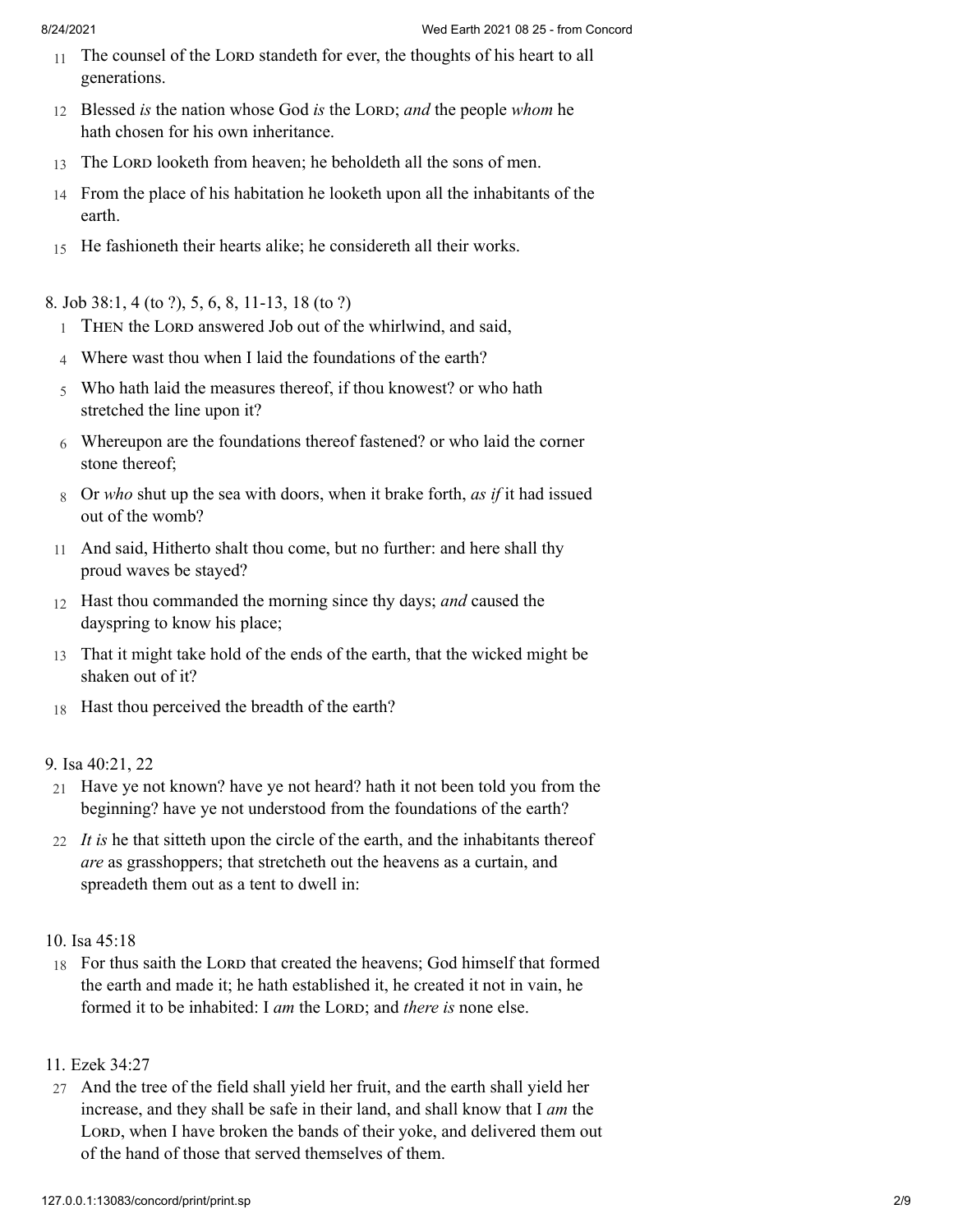- 11 The counsel of the LORD standeth for ever, the thoughts of his heart to all generations.
- 12 Blessed *is* the nation whose God *is* the LORD; *and* the people *whom* he hath chosen for his own inheritance.
- 13 The LORD looketh from heaven; he beholdeth all the sons of men.
- 14 From the place of his habitation he looketh upon all the inhabitants of the earth.
- 15 He fashioneth their hearts alike; he considereth all their works.

8. [Job 38:1, 4 \(to ?\), 5, 6, 8, 11-13, 18 \(to ?\)](http://www.concordworks.com/citation/Job%2038:1,%204%20(to%20?),%205,%206,%208,%2011-13,%2018%20(to%20?))

- 1 THEN the LORD answered Job out of the whirlwind, and said,
- 4 Where wast thou when I laid the foundations of the earth?
- 5 Who hath laid the measures thereof, if thou knowest? or who hath stretched the line upon it?
- 6 Whereupon are the foundations thereof fastened? or who laid the corner stone thereof;
- 8 Or *who* shut up the sea with doors, when it brake forth, *as if* it had issued out of the womb?
- 11 And said, Hitherto shalt thou come, but no further: and here shall thy proud waves be stayed?
- 12 Hast thou commanded the morning since thy days; *and* caused the dayspring to know his place;
- 13 That it might take hold of the ends of the earth, that the wicked might be shaken out of it?
- 18 Hast thou perceived the breadth of the earth?

## 9. [Isa 40:21, 22](http://www.concordworks.com/citation/Isa%2040:21,%2022)

- 21 Have ye not known? have ye not heard? hath it not been told you from the beginning? have ye not understood from the foundations of the earth?
- 22 *It is* he that sitteth upon the circle of the earth, and the inhabitants thereof *are* as grasshoppers; that stretcheth out the heavens as a curtain, and spreadeth them out as a tent to dwell in:
- 10. [Isa 45:18](http://www.concordworks.com/citation/Isa%2045:18)
- 18 For thus saith the LORD that created the heavens; God himself that formed the earth and made it; he hath established it, he created it not in vain, he formed it to be inhabited: I *am* the LORD; and *there is* none else.

# 11. [Ezek 34:27](http://www.concordworks.com/citation/Ezek%2034:27)

27 And the tree of the field shall yield her fruit, and the earth shall yield her increase, and they shall be safe in their land, and shall know that I *am* the LORD, when I have broken the bands of their yoke, and delivered them out of the hand of those that served themselves of them.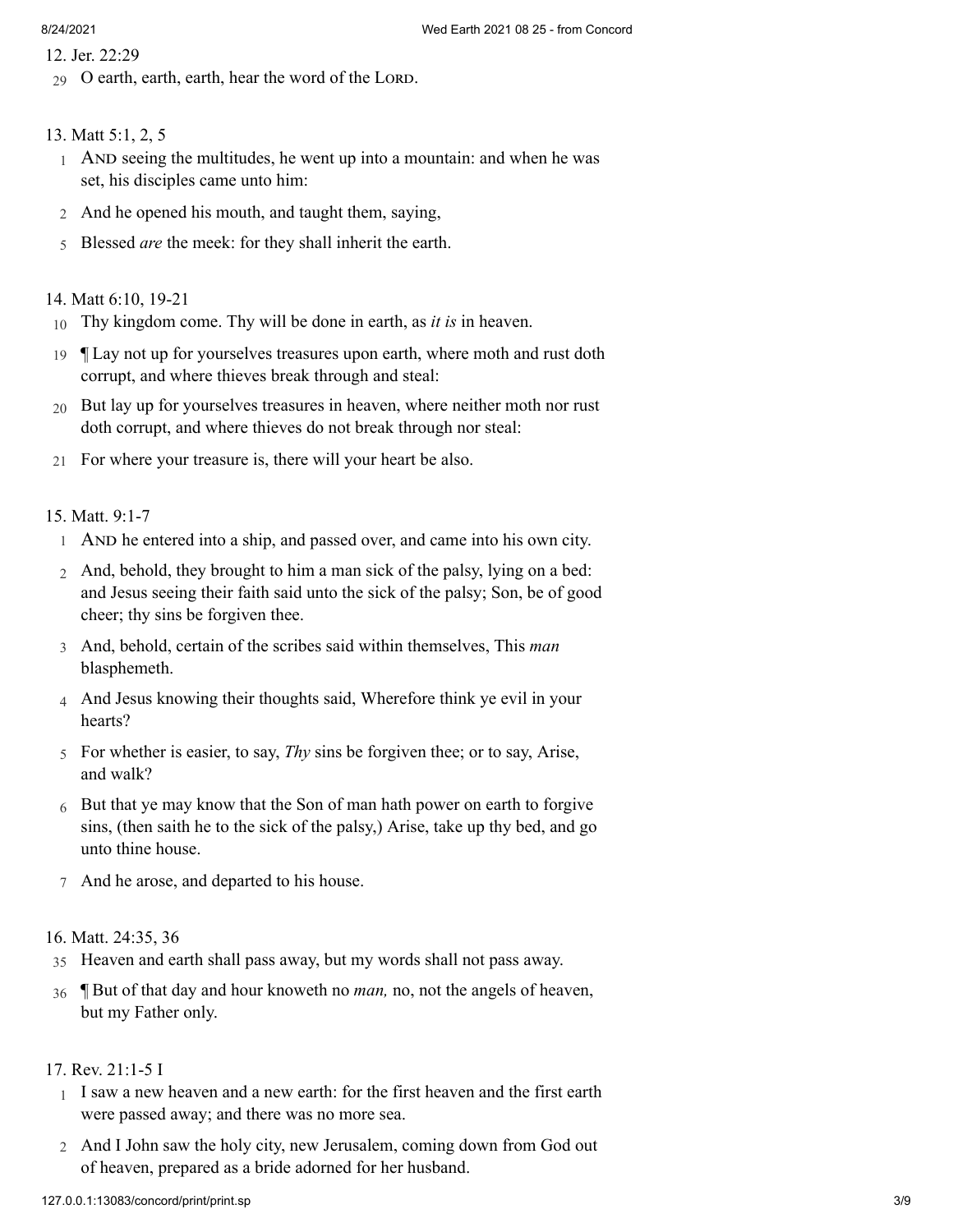- 12. [Jer. 22:29](http://www.concordworks.com/citation/Jer.%2022:29)
- $29$  O earth, earth, earth, hear the word of the LORD.

#### 13. [Matt 5:1, 2, 5](http://www.concordworks.com/citation/Matt%205:1,%202,%205)

- 1 AND seeing the multitudes, he went up into a mountain: and when he was set, his disciples came unto him:
- 2 And he opened his mouth, and taught them, saying,
- 5 Blessed *are* the meek: for they shall inherit the earth.

#### 14. [Matt 6:10, 19-21](http://www.concordworks.com/citation/Matt%206:10,%2019-21)

- 10 Thy kingdom come. Thy will be done in earth, as *it is* in heaven.
- 19 ¶ Lay not up for yourselves treasures upon earth, where moth and rust doth corrupt, and where thieves break through and steal:
- 20 But lay up for yourselves treasures in heaven, where neither moth nor rust doth corrupt, and where thieves do not break through nor steal:
- 21 For where your treasure is, there will your heart be also.

#### 15. [Matt. 9:1-7](http://www.concordworks.com/citation/Matt.%209:1-7)

- 1 AND he entered into a ship, and passed over, and came into his own city.
- 2 And, behold, they brought to him a man sick of the palsy, lying on a bed: and Jesus seeing their faith said unto the sick of the palsy; Son, be of good cheer; thy sins be forgiven thee.
- 3 And, behold, certain of the scribes said within themselves, This *man* blasphemeth.
- 4 And Jesus knowing their thoughts said, Wherefore think ye evil in your hearts?
- 5 For whether is easier, to say, *Thy* sins be forgiven thee; or to say, Arise, and walk?
- $6$  But that ye may know that the Son of man hath power on earth to forgive sins, (then saith he to the sick of the palsy,) Arise, take up thy bed, and go unto thine house.
- 7 And he arose, and departed to his house.

#### 16. [Matt. 24:35, 36](http://www.concordworks.com/citation/Matt.%2024:35,%2036)

- 35 Heaven and earth shall pass away, but my words shall not pass away.
- 36 ¶ But of that day and hour knoweth no *man,* no, not the angels of heaven, but my Father only.

## 17. [Rev. 21:1-5 I](http://www.concordworks.com/citation/Rev.%2021:1-5%20I)

- 1 I saw a new heaven and a new earth: for the first heaven and the first earth were passed away; and there was no more sea.
- 2 And I John saw the holy city, new Jerusalem, coming down from God out of heaven, prepared as a bride adorned for her husband.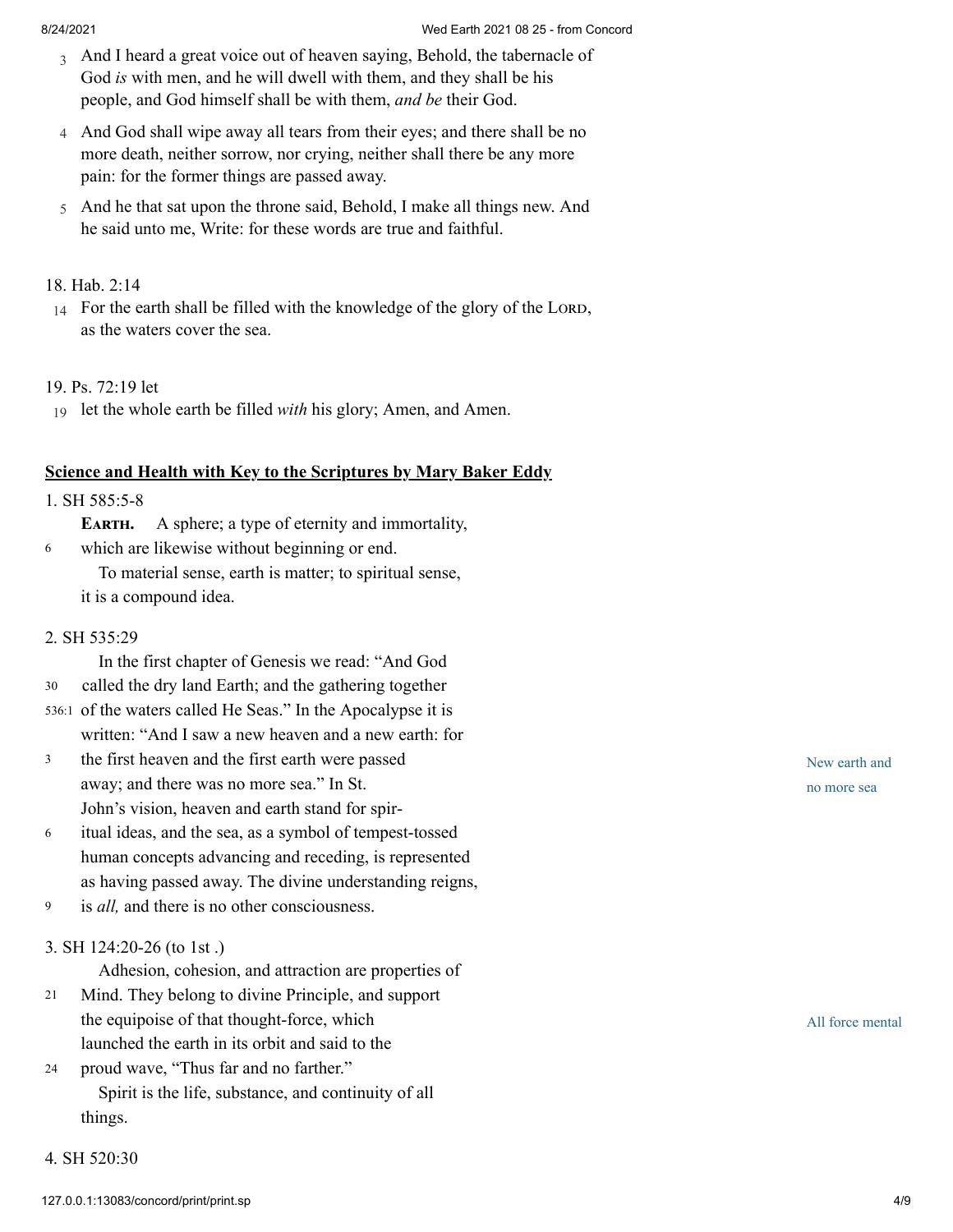- 3 And I heard a great voice out of heaven saying, Behold, the tabernacle of God *is* with men, and he will dwell with them, and they shall be his people, and God himself shall be with them, *and be* their God.
- 4 And God shall wipe away all tears from their eyes; and there shall be no more death, neither sorrow, nor crying, neither shall there be any more pain: for the former things are passed away.
- 5 And he that sat upon the throne said, Behold, I make all things new. And he said unto me, Write: for these words are true and faithful.

## 18. [Hab. 2:14](http://www.concordworks.com/citation/Hab.%202:14)

14 For the earth shall be filled with the knowledge of the glory of the LORD, as the waters cover the sea.

## 19. [Ps. 72:19 let](http://www.concordworks.com/citation/Ps.%2072:19%20let)

19 let the whole earth be filled *with* his glory; Amen, and Amen.

## **Science and Health with Key to the Scriptures by Mary Baker Eddy**

## 1. [SH 585:5-8](http://www.concordworks.com/citation/SH%20585:5-8)

**EARTH.** A sphere; a type of eternity and immortality,

which are likewise without beginning or end. To material sense, earth is matter; to spiritual sense, it is a compound idea. 6

## 2. [SH 535:29](http://www.concordworks.com/citation/SH%20535:29)

In the first chapter of Genesis we read: "And God called the dry land Earth; and the gathering together 536:1 of the waters called He Seas." In the Apocalypse it is written: "And I saw a new heaven and a new earth: for 30

- the first heaven and the first earth were passed away; and there was no more sea." In St. John's vision, heaven and earth stand for spir‐ 3
- itual ideas, and the sea, as a symbol of tempest-tossed human concepts advancing and receding, is represented as having passed away. The divine understanding reigns, 6
- is *all,* and there is no other consciousness. 9

## 3. [SH 124:20-26 \(to 1st .\)](http://www.concordworks.com/citation/SH%20124:20-26%20(to%201st%20.))

Adhesion, cohesion, and attraction are properties of

- Mind. They belong to divine Principle, and support the equipoise of that thought-force, which launched the earth in its orbit and said to the 21
- proud wave, "Thus far and no farther." Spirit is the life, substance, and continuity of all things. 24
- 4. [SH 520:30](http://www.concordworks.com/citation/SH%20520:30)

New earth and no more sea

All force mental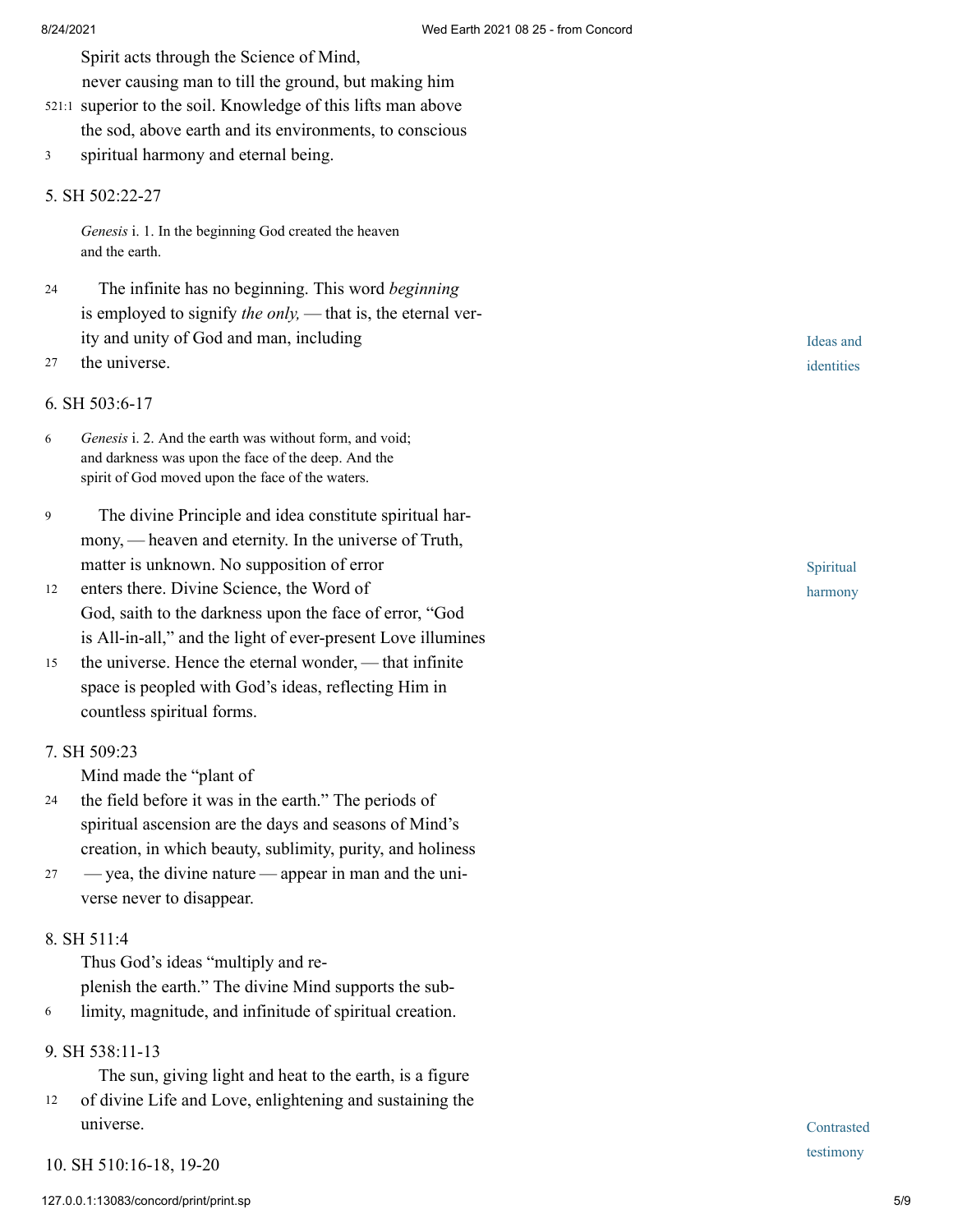Spirit acts through the Science of Mind,

never causing man to till the ground, but making him

- 521:1 superior to the soil. Knowledge of this lifts man above the sod, above earth and its environments, to conscious
- spiritual harmony and eternal being. 3

#### 5. [SH 502:22-27](http://www.concordworks.com/citation/SH%20502:22-27)

*Genesis* i. 1. In the beginning God created the heaven and the earth.

- The infinite has no beginning. This word *beginning* is employed to signify *the only*, — that is, the eternal verity and unity of God and man, including 24
- the universe. 27

### 6. [SH 503:6-17](http://www.concordworks.com/citation/SH%20503:6-17)

- *Genesis* i. 2. And the earth was without form, and void; and darkness was upon the face of the deep. And the spirit of God moved upon the face of the waters. 6
- The divine Principle and idea constitute spiritual har‐ mony, — heaven and eternity. In the universe of Truth, matter is unknown. No supposition of error 9
- enters there. Divine Science, the Word of God, saith to the darkness upon the face of error, "God is All-in-all," and the light of ever-present Love illumines 12
- the universe. Hence the eternal wonder, — that infinite space is peopled with God's ideas, reflecting Him in countless spiritual forms. 15

## 7. [SH 509:23](http://www.concordworks.com/citation/SH%20509:23)

Mind made the "plant of

- the field before it was in the earth." The periods of spiritual ascension are the days and seasons of Mind's creation, in which beauty, sublimity, purity, and holiness 24
- — yea, the divine nature — appear in man and the uni‐ verse never to disappear. 27

#### 8. [SH 511:4](http://www.concordworks.com/citation/SH%20511:4)

Thus God's ideas "multiply and re‐ plenish the earth." The divine Mind supports the sub‐

6 limity, magnitude, and infinitude of spiritual creation.

## 9. [SH 538:11-13](http://www.concordworks.com/citation/SH%20538:11-13)

The sun, giving light and heat to the earth, is a figure

of divine Life and Love, enlightening and sustaining the universe. 12

10. [SH 510:16-18, 19-20](http://www.concordworks.com/citation/SH%20510:16-18,%2019-20)

Ideas and identities

Spiritual harmony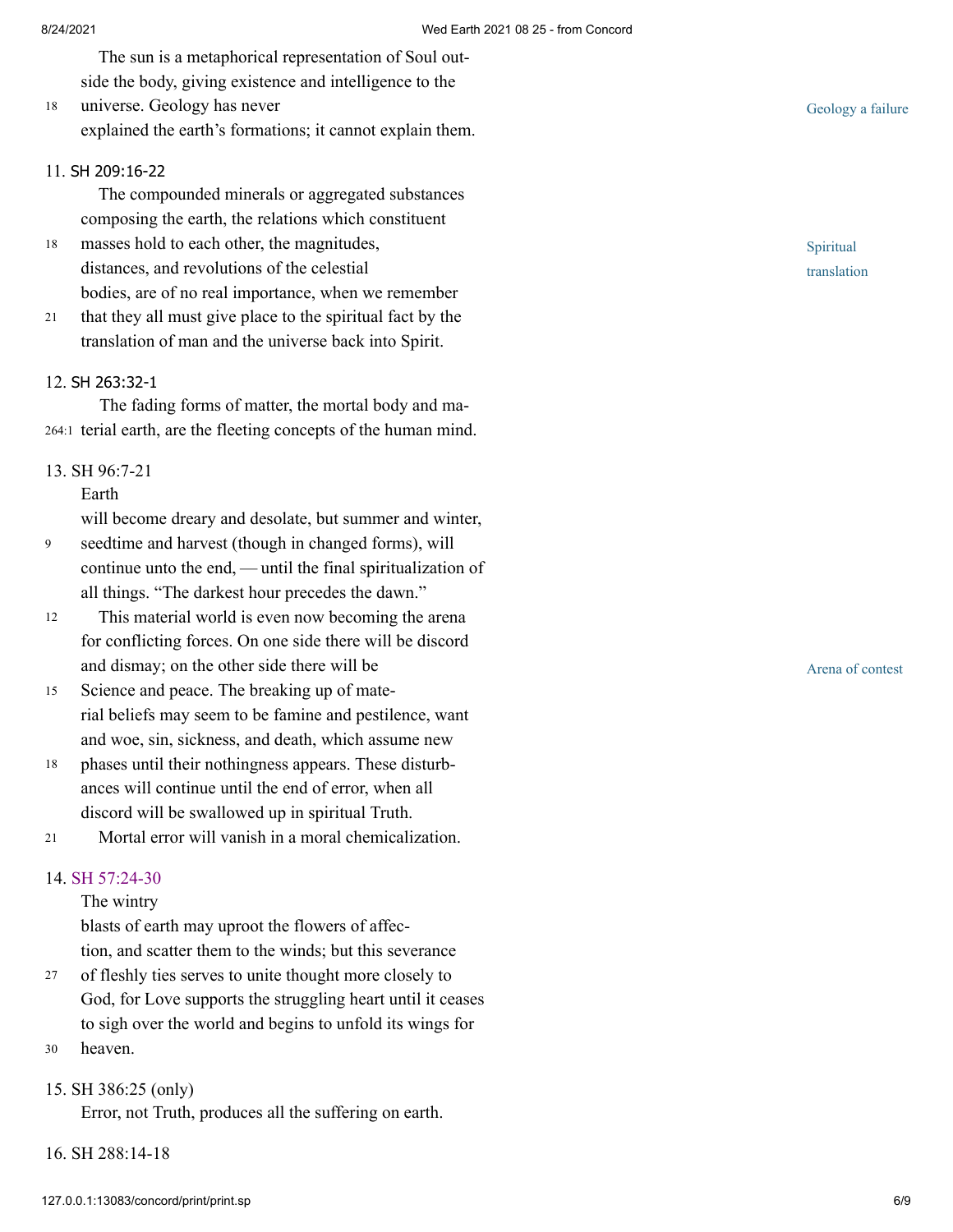The sun is a metaphorical representation of Soul out‐ side the body, giving existence and intelligence to the

universe. Geology has never explained the earth's formations; it cannot explain them. 18

## 11. SH [209:16-22](http://www.concordworks.com/citation/SH%20209:16-22)

The compounded minerals or aggregated substances composing the earth, the relations which constituent

- masses hold to each other, the magnitudes, distances, and revolutions of the celestial bodies, are of no real importance, when we remember 18
- that they all must give place to the spiritual fact by the translation of man and the universe back into Spirit. 21

#### 12. SH [263:32-1](http://www.concordworks.com/citation/SH%20263:32-1)

The fading forms of matter, the mortal body and ma‐ 264:1 terial earth, are the fleeting concepts of the human mind.

### 13. [SH 96:7-21](http://www.concordworks.com/citation/SH%2096:7-21)

Earth

will become dreary and desolate, but summer and winter,

- seedtime and harvest (though in changed forms), will continue unto the end, — until the final spiritualization of all things. "The darkest hour precedes the dawn." 9
- This material world is even now becoming the arena for conflicting forces. On one side there will be discord and dismay; on the other side there will be 12
- Science and peace. The breaking up of mate‐ rial beliefs may seem to be famine and pestilence, want and woe, sin, sickness, and death, which assume new 15
- phases until their nothingness appears. These disturb‐ ances will continue until the end of error, when all discord will be swallowed up in spiritual Truth. 18
- Mortal error will vanish in a moral chemicalization. 21

## 14. [SH 57:24-30](http://www.concordworks.com/citation/SH%2057:24-30)

### The wintry

blasts of earth may uproot the flowers of affec‐ tion, and scatter them to the winds; but this severance

- of fleshly ties serves to unite thought more closely to God, for Love supports the struggling heart until it ceases to sigh over the world and begins to unfold its wings for 27
- heaven. 30

# 15. [SH 386:25 \(only\)](http://www.concordworks.com/citation/SH%20386:25%20(only))

Error, not Truth, produces all the suffering on earth.

16. [SH 288:14-18](http://www.concordworks.com/citation/SH%20288:14-18)

Geology a failure

Spiritual translation

Arena of contest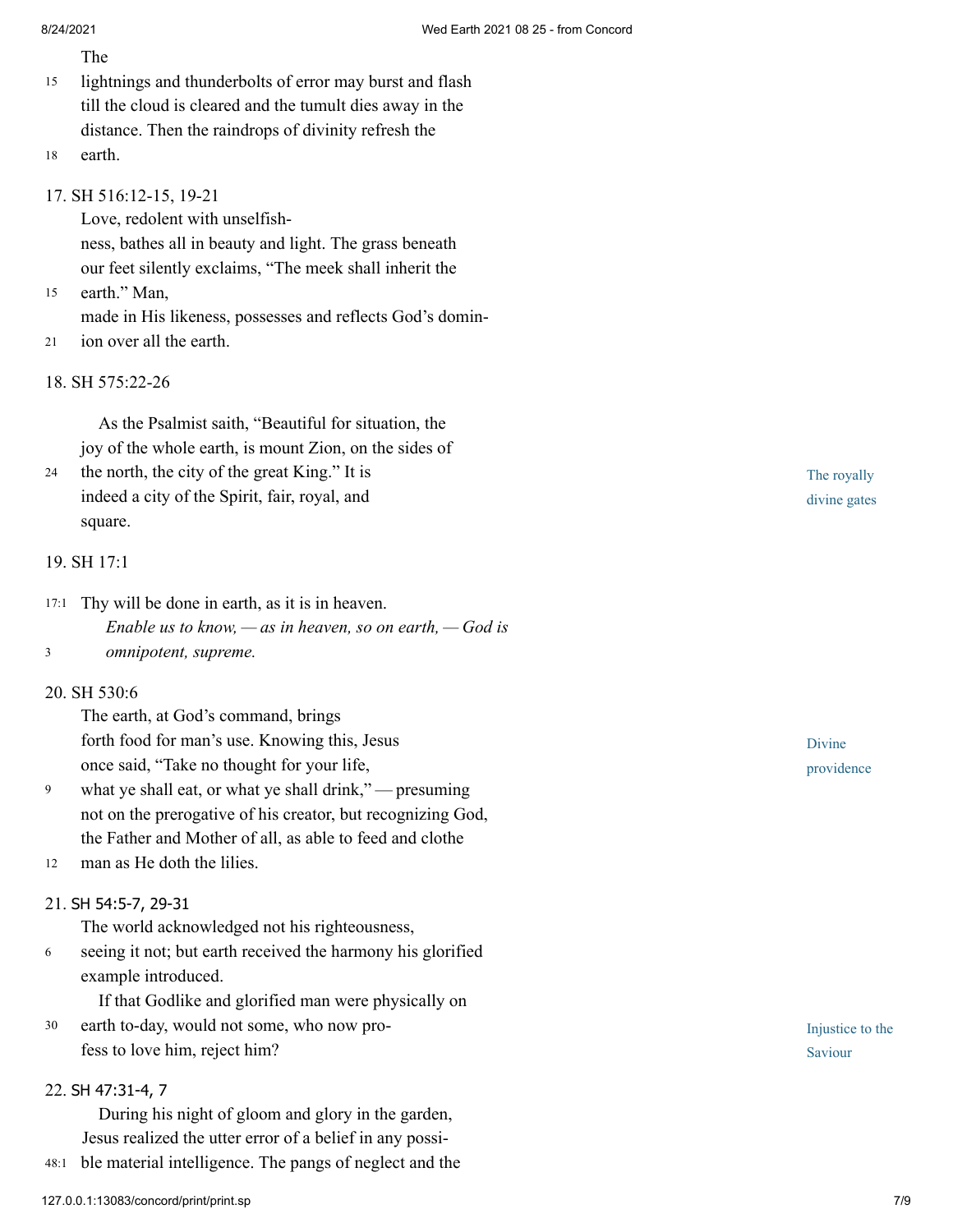|                   | The                                                                                                                                                                                                                                                          |
|-------------------|--------------------------------------------------------------------------------------------------------------------------------------------------------------------------------------------------------------------------------------------------------------|
| 15                | lightnings and thunderbolts of error may burst and flash<br>till the cloud is cleared and the tumult dies away in the                                                                                                                                        |
|                   | distance. Then the raindrops of divinity refresh the                                                                                                                                                                                                         |
| 18                | earth.                                                                                                                                                                                                                                                       |
| 15                | 17. SH 516:12-15, 19-21<br>Love, redolent with unselfish-<br>ness, bathes all in beauty and light. The grass beneath<br>our feet silently exclaims, "The meek shall inherit the<br>earth." Man,                                                              |
| 21                | made in His likeness, possesses and reflects God's domin-<br>ion over all the earth.                                                                                                                                                                         |
| 18. SH 575:22-26  |                                                                                                                                                                                                                                                              |
| 24                | As the Psalmist saith, "Beautiful for situation, the<br>joy of the whole earth, is mount Zion, on the sides of<br>the north, the city of the great King." It is<br>indeed a city of the Spirit, fair, royal, and<br>square.                                  |
| 19. SH 17:1       |                                                                                                                                                                                                                                                              |
| 17:1<br>3         | Thy will be done in earth, as it is in heaven.<br>Enable us to know, $-\infty$ in heaven, so on earth, $-\text{God}$ is<br>omnipotent, supreme.                                                                                                              |
| 20. SH 530:6      |                                                                                                                                                                                                                                                              |
| 9                 | The earth, at God's command, brings<br>forth food for man's use. Knowing this, Jesus<br>once said, "Take no thought for your life,<br>what ye shall eat, or what ye shall drink," — presuming<br>not on the prerogative of his creator, but recognizing God, |
|                   | the Father and Mother of all, as able to feed and clothe                                                                                                                                                                                                     |
| 12                | man as He doth the lilies.                                                                                                                                                                                                                                   |
|                   | 21. SH 54:5-7, 29-31<br>The world acknowledged not his righteousness,                                                                                                                                                                                        |
| 6                 | seeing it not; but earth received the harmony his glorified<br>example introduced.<br>If that Godlike and glorified man were physically on                                                                                                                   |
| 30                | earth to-day, would not some, who now pro-                                                                                                                                                                                                                   |
|                   | fess to love him, reject him?                                                                                                                                                                                                                                |
| 22. SH 47:31-4, 7 |                                                                                                                                                                                                                                                              |
|                   | During his night of gloom and glory in the garden,                                                                                                                                                                                                           |
|                   | Jesus realized the utter error of a belief in any possi-                                                                                                                                                                                                     |
| 48:1              | ble material intelligence. The pangs of neglect and the                                                                                                                                                                                                      |

The royally divine gates

Divine providence

Injustice to the Saviour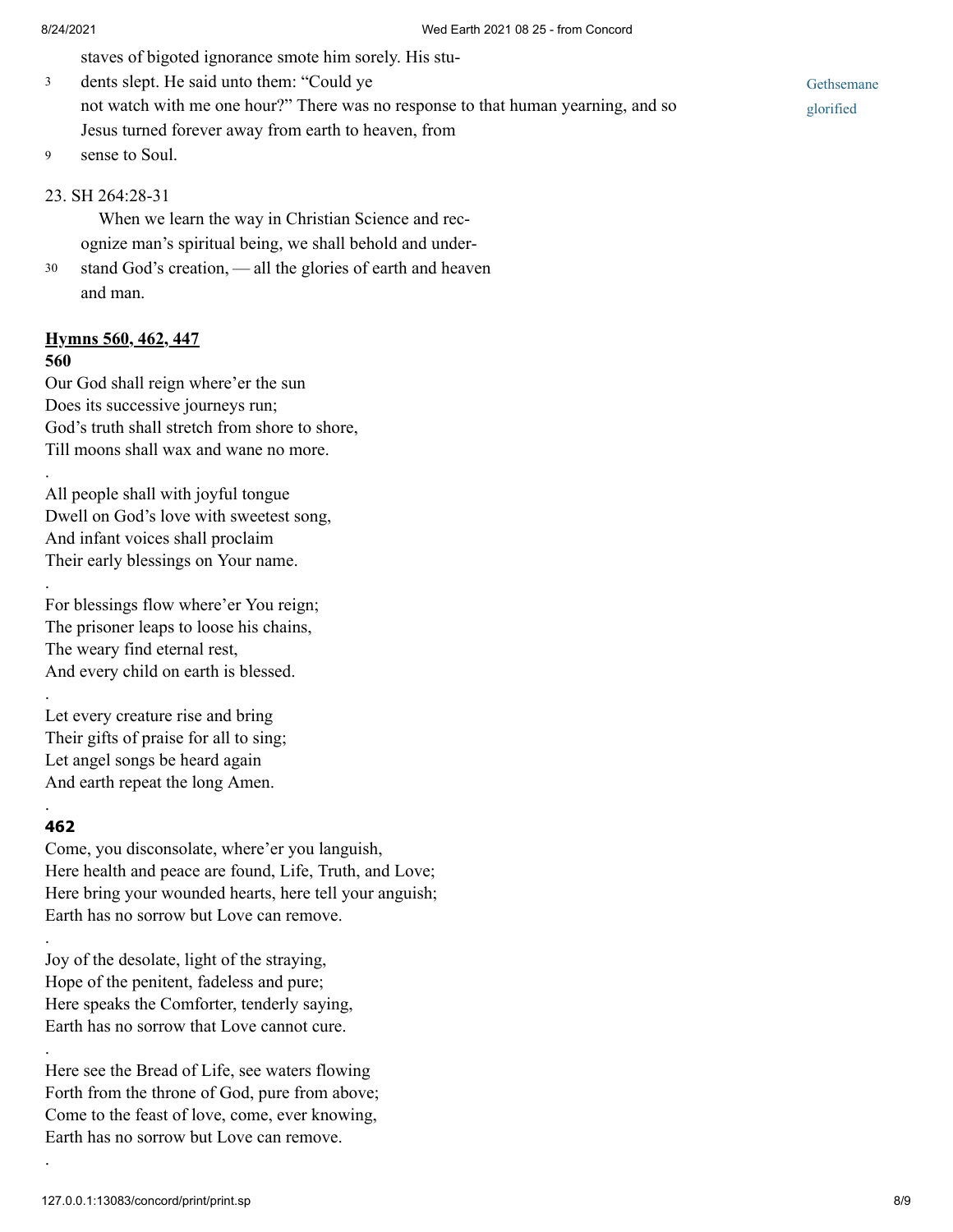staves of bigoted ignorance smote him sorely. His stu‐

dents slept. He said unto them: "Could ye not watch with me one hour?" There was no response to that human yearning, and so Jesus turned forever away from earth to heaven, from 3

sense to Soul. 9

## 23. [SH 264:28-31](http://www.concordworks.com/citation/SH%20264:28-31)

When we learn the way in Christian Science and recognize man's spiritual being, we shall behold and under‐

stand God's creation, — all the glories of earth and heaven and man. 30

## **Hymns 560, 462, 447**

### **560**

.

.

.

Our God shall reign where'er the sun Does its successive journeys run; God's truth shall stretch from shore to shore, Till moons shall wax and wane no more.

All people shall with joyful tongue Dwell on God's love with sweetest song, And infant voices shall proclaim Their early blessings on Your name.

For blessings flow where'er You reign; The prisoner leaps to loose his chains, The weary find eternal rest, And every child on earth is blessed.

Let every creature rise and bring Their gifts of praise for all to sing; Let angel songs be heard again And earth repeat the long Amen.

#### **462**

.

.

.

.

Come, you disconsolate, where'er you languish, Here health and peace are found, Life, Truth, and Love; Here bring your wounded hearts, here tell your anguish; Earth has no sorrow but Love can remove.

Joy of the desolate, light of the straying, Hope of the penitent, fadeless and pure; Here speaks the Comforter, tenderly saying, Earth has no sorrow that Love cannot cure.

Here see the Bread of Life, see waters flowing Forth from the throne of God, pure from above; Come to the feast of love, come, ever knowing, Earth has no sorrow but Love can remove.

Gethsemane glorified